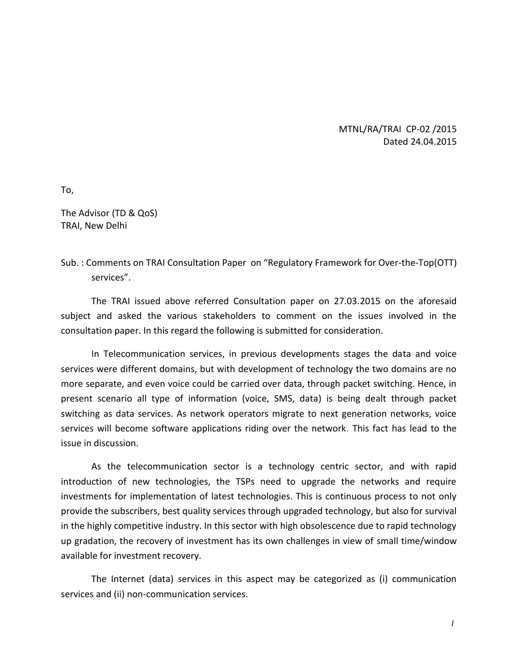## MTNL/RA/TRAI CP-02 /2015 Dated 24.04.2015

To,

The Advisor (TD & QoS) TRAI, New Delhi

## Sub. : Comments on TRAI Consultation Paper on "Regulatory Framework for Over-the-Top(OTT) services".

The TRAI issued above referred Consultation paper on 27.03.2015 on the aforesaid subject and asked the various stakeholders to comment on the issues involved in the consultation paper. In this regard the following is submitted for consideration.

In Telecommunication services, in previous developments stages the data and voice services were different domains, but with development of technology the two domains are no more separate, and even voice could be carried over data, through packet switching. Hence, in present scenario all type of information (voice, SMS, data) is being dealt through packet switching as data services. As network operators migrate to next generation networks, voice services will become software applications riding over the network. This fact has lead to the issue in discussion.

As the telecommunication sector is a technology centric sector, and with rapid introduction of new technologies, the TSPs need to upgrade the networks and require investments for implementation of latest technologies. This is continuous process to not only provide the subscribers, best quality services through upgraded technology, but also for survival in the highly competitive industry. In this sector with high obsolescence due to rapid technology up gradation, the recovery of investment has its own challenges in view of small time/window available for investment recovery.

The Internet (data) services in this aspect may be categorized as (i) communication services and (ii) non-communication services.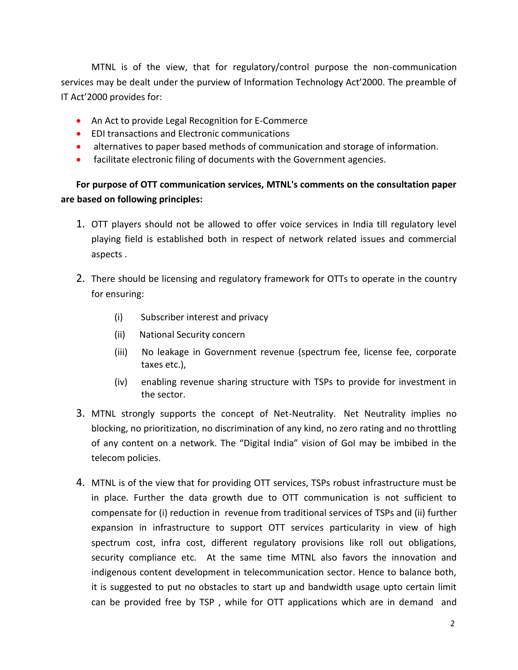MTNL is of the view, that for regulatory/control purpose the non-communication services may be dealt under the purview of Information Technology Act'2000. The preamble of IT Act'2000 provides for:

- An Act to provide Legal Recognition for E-Commerce
- EDI transactions and Electronic communications
- alternatives to paper based methods of communication and storage of information.
- facilitate electronic filing of documents with the Government agencies.

## **For purpose of OTT communication services, MTNL's comments on the consultation paper are based on following principles:**

- 1. OTT players should not be allowed to offer voice services in India till regulatory level playing field is established both in respect of network related issues and commercial aspects .
- 2. There should be licensing and regulatory framework for OTTs to operate in the country for ensuring:
	- (i) Subscriber interest and privacy
	- (ii) National Security concern
	- (iii) No leakage in Government revenue (spectrum fee, license fee, corporate taxes etc.),
	- (iv) enabling revenue sharing structure with TSPs to provide for investment in the sector.
- 3. MTNL strongly supports the concept of Net-Neutrality. Net Neutrality implies no blocking, no prioritization, no discrimination of any kind, no zero rating and no throttling of any content on a network. The "Digital India" vision of GoI may be imbibed in the telecom policies.
- 4. MTNL is of the view that for providing OTT services, TSPs robust infrastructure must be in place. Further the data growth due to OTT communication is not sufficient to compensate for (i) reduction in revenue from traditional services of TSPs and (ii) further expansion in infrastructure to support OTT services particularity in view of high spectrum cost, infra cost, different regulatory provisions like roll out obligations, security compliance etc. At the same time MTNL also favors the innovation and indigenous content development in telecommunication sector. Hence to balance both, it is suggested to put no obstacles to start up and bandwidth usage upto certain limit can be provided free by TSP , while for OTT applications which are in demand and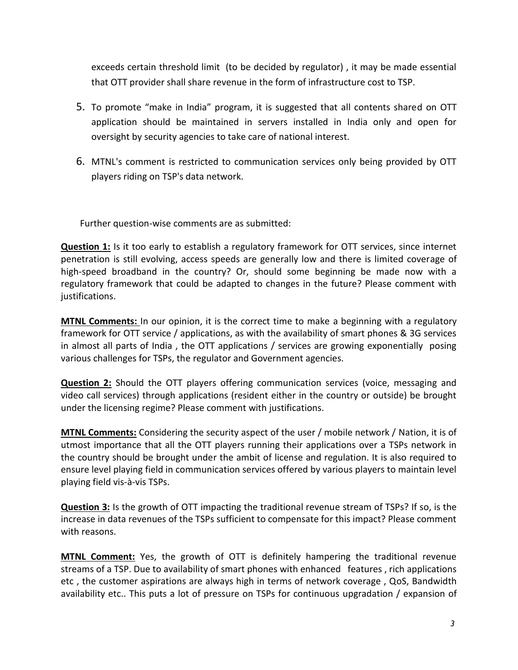exceeds certain threshold limit (to be decided by regulator) , it may be made essential that OTT provider shall share revenue in the form of infrastructure cost to TSP.

- 5. To promote "make in India" program, it is suggested that all contents shared on OTT application should be maintained in servers installed in India only and open for oversight by security agencies to take care of national interest.
- 6. MTNL's comment is restricted to communication services only being provided by OTT players riding on TSP's data network.

Further question-wise comments are as submitted:

**Question 1:** Is it too early to establish a regulatory framework for OTT services, since internet penetration is still evolving, access speeds are generally low and there is limited coverage of high-speed broadband in the country? Or, should some beginning be made now with a regulatory framework that could be adapted to changes in the future? Please comment with justifications.

**MTNL Comments:** In our opinion, it is the correct time to make a beginning with a regulatory framework for OTT service / applications, as with the availability of smart phones & 3G services in almost all parts of India , the OTT applications / services are growing exponentially posing various challenges for TSPs, the regulator and Government agencies.

**Question 2:** Should the OTT players offering communication services (voice, messaging and video call services) through applications (resident either in the country or outside) be brought under the licensing regime? Please comment with justifications.

**MTNL Comments:** Considering the security aspect of the user / mobile network / Nation, it is of utmost importance that all the OTT players running their applications over a TSPs network in the country should be brought under the ambit of license and regulation. It is also required to ensure level playing field in communication services offered by various players to maintain level playing field vis-à-vis TSPs.

**Question 3:** Is the growth of OTT impacting the traditional revenue stream of TSPs? If so, is the increase in data revenues of the TSPs sufficient to compensate for this impact? Please comment with reasons.

**MTNL Comment:** Yes, the growth of OTT is definitely hampering the traditional revenue streams of a TSP. Due to availability of smart phones with enhanced features , rich applications etc , the customer aspirations are always high in terms of network coverage , QoS, Bandwidth availability etc.. This puts a lot of pressure on TSPs for continuous upgradation / expansion of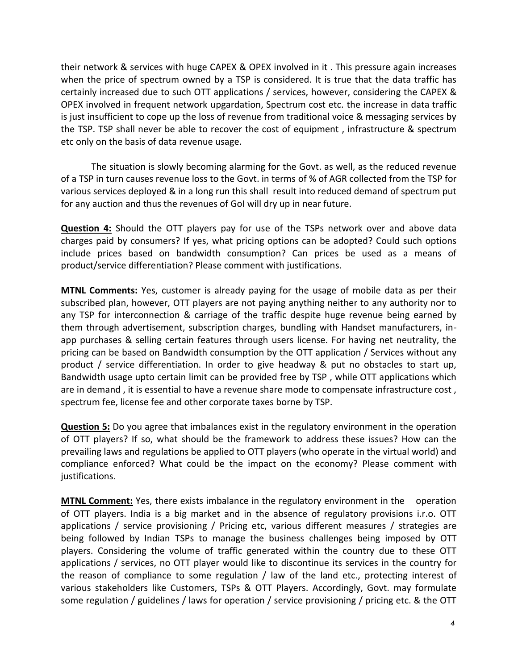their network & services with huge CAPEX & OPEX involved in it . This pressure again increases when the price of spectrum owned by a TSP is considered. It is true that the data traffic has certainly increased due to such OTT applications / services, however, considering the CAPEX & OPEX involved in frequent network upgardation, Spectrum cost etc. the increase in data traffic is just insufficient to cope up the loss of revenue from traditional voice & messaging services by the TSP. TSP shall never be able to recover the cost of equipment , infrastructure & spectrum etc only on the basis of data revenue usage.

The situation is slowly becoming alarming for the Govt. as well, as the reduced revenue of a TSP in turn causes revenue loss to the Govt. in terms of % of AGR collected from the TSP for various services deployed & in a long run this shall result into reduced demand of spectrum put for any auction and thus the revenues of GoI will dry up in near future.

**Question 4:** Should the OTT players pay for use of the TSPs network over and above data charges paid by consumers? If yes, what pricing options can be adopted? Could such options include prices based on bandwidth consumption? Can prices be used as a means of product/service differentiation? Please comment with justifications.

**MTNL Comments:** Yes, customer is already paying for the usage of mobile data as per their subscribed plan, however, OTT players are not paying anything neither to any authority nor to any TSP for interconnection & carriage of the traffic despite huge revenue being earned by them through advertisement, subscription charges, bundling with Handset manufacturers, inapp purchases & selling certain features through users license. For having net neutrality, the pricing can be based on Bandwidth consumption by the OTT application / Services without any product / service differentiation. In order to give headway & put no obstacles to start up, Bandwidth usage upto certain limit can be provided free by TSP , while OTT applications which are in demand , it is essential to have a revenue share mode to compensate infrastructure cost , spectrum fee, license fee and other corporate taxes borne by TSP.

**Question 5:** Do you agree that imbalances exist in the regulatory environment in the operation of OTT players? If so, what should be the framework to address these issues? How can the prevailing laws and regulations be applied to OTT players (who operate in the virtual world) and compliance enforced? What could be the impact on the economy? Please comment with justifications.

**MTNL Comment:** Yes, there exists imbalance in the regulatory environment in the operation of OTT players. India is a big market and in the absence of regulatory provisions i.r.o. OTT applications / service provisioning / Pricing etc, various different measures / strategies are being followed by Indian TSPs to manage the business challenges being imposed by OTT players. Considering the volume of traffic generated within the country due to these OTT applications / services, no OTT player would like to discontinue its services in the country for the reason of compliance to some regulation / law of the land etc., protecting interest of various stakeholders like Customers, TSPs & OTT Players. Accordingly, Govt. may formulate some regulation / guidelines / laws for operation / service provisioning / pricing etc. & the OTT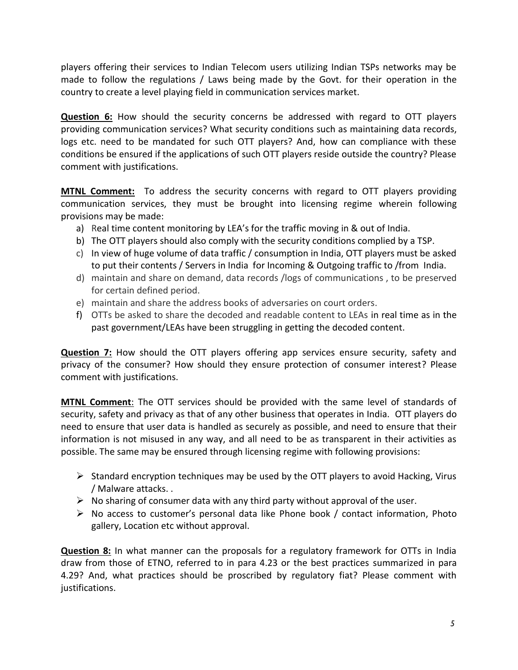players offering their services to Indian Telecom users utilizing Indian TSPs networks may be made to follow the regulations / Laws being made by the Govt. for their operation in the country to create a level playing field in communication services market.

**Question 6:** How should the security concerns be addressed with regard to OTT players providing communication services? What security conditions such as maintaining data records, logs etc. need to be mandated for such OTT players? And, how can compliance with these conditions be ensured if the applications of such OTT players reside outside the country? Please comment with justifications.

**MTNL Comment:** To address the security concerns with regard to OTT players providing communication services, they must be brought into licensing regime wherein following provisions may be made:

- a) Real time content monitoring by LEA's for the traffic moving in & out of India.
- b) The OTT players should also comply with the security conditions complied by a TSP.
- c) In view of huge volume of data traffic / consumption in India, OTT players must be asked to put their contents / Servers in India for Incoming & Outgoing traffic to /from India.
- d) maintain and share on demand, data records /logs of communications , to be preserved for certain defined period.
- e) maintain and share the address books of adversaries on court orders.
- f) OTTs be asked to share the decoded and readable content to LEAs in real time as in the past government/LEAs have been struggling in getting the decoded content.

**Question 7:** How should the OTT players offering app services ensure security, safety and privacy of the consumer? How should they ensure protection of consumer interest? Please comment with justifications.

**MTNL Comment**: The OTT services should be provided with the same level of standards of security, safety and privacy as that of any other business that operates in India. OTT players do need to ensure that user data is handled as securely as possible, and need to ensure that their information is not misused in any way, and all need to be as transparent in their activities as possible. The same may be ensured through licensing regime with following provisions:

- $\triangleright$  Standard encryption techniques may be used by the OTT players to avoid Hacking, Virus / Malware attacks. .
- $\triangleright$  No sharing of consumer data with any third party without approval of the user.
- $\triangleright$  No access to customer's personal data like Phone book / contact information, Photo gallery, Location etc without approval.

**Question 8:** In what manner can the proposals for a regulatory framework for OTTs in India draw from those of ETNO, referred to in para 4.23 or the best practices summarized in para 4.29? And, what practices should be proscribed by regulatory fiat? Please comment with justifications.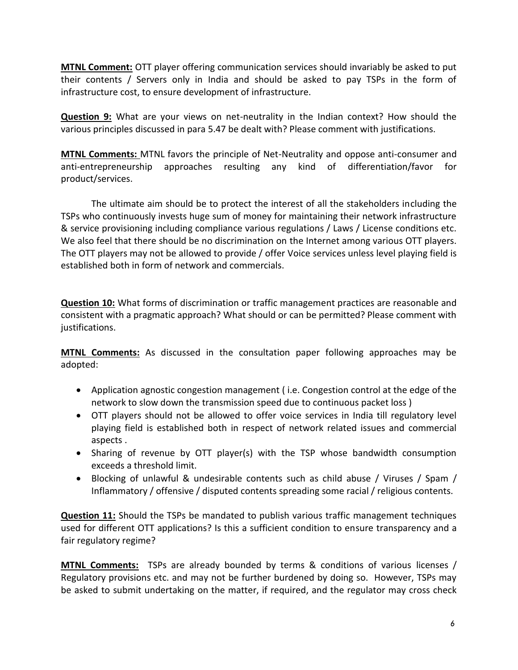**MTNL Comment:** OTT player offering communication services should invariably be asked to put their contents / Servers only in India and should be asked to pay TSPs in the form of infrastructure cost, to ensure development of infrastructure.

**Question 9:** What are your views on net-neutrality in the Indian context? How should the various principles discussed in para 5.47 be dealt with? Please comment with justifications.

**MTNL Comments:** MTNL favors the principle of Net-Neutrality and oppose anti-consumer and anti-entrepreneurship approaches resulting any kind of differentiation/favor for product/services.

The ultimate aim should be to protect the interest of all the stakeholders including the TSPs who continuously invests huge sum of money for maintaining their network infrastructure & service provisioning including compliance various regulations / Laws / License conditions etc. We also feel that there should be no discrimination on the Internet among various OTT players. The OTT players may not be allowed to provide / offer Voice services unless level playing field is established both in form of network and commercials.

**Question 10:** What forms of discrimination or traffic management practices are reasonable and consistent with a pragmatic approach? What should or can be permitted? Please comment with justifications.

**MTNL Comments:** As discussed in the consultation paper following approaches may be adopted:

- Application agnostic congestion management ( i.e. Congestion control at the edge of the network to slow down the transmission speed due to continuous packet loss )
- OTT players should not be allowed to offer voice services in India till regulatory level playing field is established both in respect of network related issues and commercial aspects .
- Sharing of revenue by OTT player(s) with the TSP whose bandwidth consumption exceeds a threshold limit.
- Blocking of unlawful & undesirable contents such as child abuse / Viruses / Spam / Inflammatory / offensive / disputed contents spreading some racial / religious contents.

**Question 11:** Should the TSPs be mandated to publish various traffic management techniques used for different OTT applications? Is this a sufficient condition to ensure transparency and a fair regulatory regime?

**MTNL Comments:** TSPs are already bounded by terms & conditions of various licenses / Regulatory provisions etc. and may not be further burdened by doing so. However, TSPs may be asked to submit undertaking on the matter, if required, and the regulator may cross check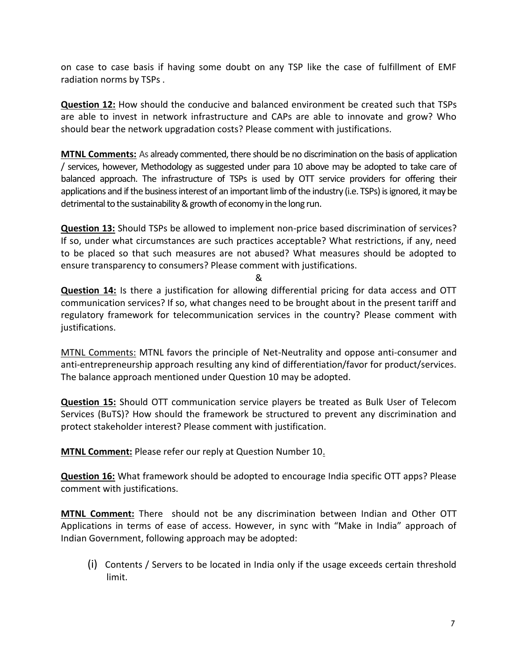on case to case basis if having some doubt on any TSP like the case of fulfillment of EMF radiation norms by TSPs .

**Question 12:** How should the conducive and balanced environment be created such that TSPs are able to invest in network infrastructure and CAPs are able to innovate and grow? Who should bear the network upgradation costs? Please comment with justifications.

**MTNL Comments:** As already commented, there should be no discrimination on the basis of application / services, however, Methodology as suggested under para 10 above may be adopted to take care of balanced approach. The infrastructure of TSPs is used by OTT service providers for offering their applications and if the business interest of an important limb of the industry (i.e. TSPs) is ignored, it may be detrimental to the sustainability & growth of economy in the long run.

**Question 13:** Should TSPs be allowed to implement non-price based discrimination of services? If so, under what circumstances are such practices acceptable? What restrictions, if any, need to be placed so that such measures are not abused? What measures should be adopted to ensure transparency to consumers? Please comment with justifications.

&

**Question 14:** Is there a justification for allowing differential pricing for data access and OTT communication services? If so, what changes need to be brought about in the present tariff and regulatory framework for telecommunication services in the country? Please comment with justifications.

MTNL Comments: MTNL favors the principle of Net-Neutrality and oppose anti-consumer and anti-entrepreneurship approach resulting any kind of differentiation/favor for product/services. The balance approach mentioned under Question 10 may be adopted.

**Question 15:** Should OTT communication service players be treated as Bulk User of Telecom Services (BuTS)? How should the framework be structured to prevent any discrimination and protect stakeholder interest? Please comment with justification.

**MTNL Comment:** Please refer our reply at Question Number 10.

**Question 16:** What framework should be adopted to encourage India specific OTT apps? Please comment with justifications.

**MTNL Comment:** There should not be any discrimination between Indian and Other OTT Applications in terms of ease of access. However, in sync with "Make in India" approach of Indian Government, following approach may be adopted:

(i) Contents / Servers to be located in India only if the usage exceeds certain threshold limit.